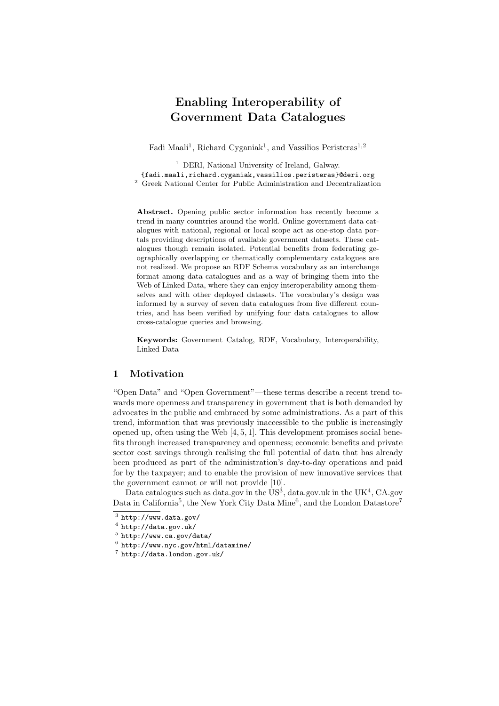# Enabling Interoperability of Government Data Catalogues

Fadi Maali<sup>1</sup>, Richard Cyganiak<sup>1</sup>, and Vassilios Peristeras<sup>1,2</sup>

<sup>1</sup> DERI, National University of Ireland, Galway. {fadi.maali,richard.cyganiak,vassilios.peristeras}@deri.org <sup>2</sup> Greek National Center for Public Administration and Decentralization

Abstract. Opening public sector information has recently become a trend in many countries around the world. Online government data catalogues with national, regional or local scope act as one-stop data portals providing descriptions of available government datasets. These catalogues though remain isolated. Potential benefits from federating geographically overlapping or thematically complementary catalogues are not realized. We propose an RDF Schema vocabulary as an interchange format among data catalogues and as a way of bringing them into the Web of Linked Data, where they can enjoy interoperability among themselves and with other deployed datasets. The vocabulary's design was informed by a survey of seven data catalogues from five different countries, and has been verified by unifying four data catalogues to allow cross-catalogue queries and browsing.

Keywords: Government Catalog, RDF, Vocabulary, Interoperability, Linked Data

## 1 Motivation

"Open Data" and "Open Government"—these terms describe a recent trend towards more openness and transparency in government that is both demanded by advocates in the public and embraced by some administrations. As a part of this trend, information that was previously inaccessible to the public is increasingly opened up, often using the Web [4, 5, 1]. This development promises social benefits through increased transparency and openness; economic benefits and private sector cost savings through realising the full potential of data that has already been produced as part of the administration's day-to-day operations and paid for by the taxpayer; and to enable the provision of new innovative services that the government cannot or will not provide [10].

Data catalogues such as data.gov in the  $US^3$ , data.gov.uk in the UK<sup>4</sup>, CA.gov Data in California<sup>5</sup>, the New York City Data Mine<sup>6</sup>, and the London Datastore<sup>7</sup>

 $^3$  http://www.data.gov/

 $^4$  http://data.gov.uk/

 $^5$  http://www.ca.gov/data/

 $^6$  http://www.nyc.gov/html/datamine/

<sup>7</sup> http://data.london.gov.uk/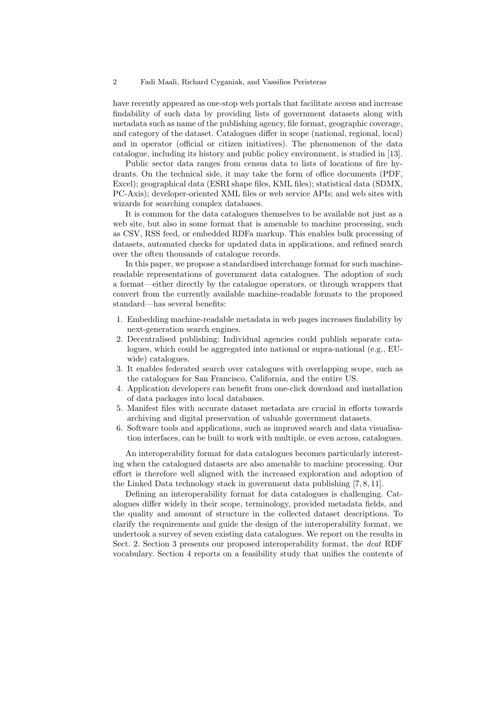have recently appeared as one-stop web portals that facilitate access and increase findability of such data by providing lists of government datasets along with metadata such as name of the publishing agency, file format, geographic coverage, and category of the dataset. Catalogues differ in scope (national, regional, local) and in operator (official or citizen initiatives). The phenomenon of the data catalogue, including its history and public policy environment, is studied in [13].

Public sector data ranges from census data to lists of locations of fire hydrants. On the technical side, it may take the form of office documents (PDF, Excel); geographical data (ESRI shape files, KML files); statistical data (SDMX, PC-Axis); developer-oriented XML files or web service APIs; and web sites with wizards for searching complex databases.

It is common for the data catalogues themselves to be available not just as a web site, but also in some format that is amenable to machine processing, such as CSV, RSS feed, or embedded RDFa markup. This enables bulk processing of datasets, automated checks for updated data in applications, and refined search over the often thousands of catalogue records.

In this paper, we propose a standardised interchange format for such machinereadable representations of government data catalogues. The adoption of such a format—either directly by the catalogue operators, or through wrappers that convert from the currently available machine-readable formats to the proposed standard—has several benefits:

- 1. Embedding machine-readable metadata in web pages increases findability by next-generation search engines.
- 2. Decentralised publishing: Individual agencies could publish separate catalogues, which could be aggregated into national or supra-national (e.g., EUwide) catalogues.
- 3. It enables federated search over catalogues with overlapping scope, such as the catalogues for San Francisco, California, and the entire US.
- 4. Application developers can benefit from one-click download and installation of data packages into local databases.
- 5. Manifest files with accurate dataset metadata are crucial in efforts towards archiving and digital preservation of valuable government datasets.
- 6. Software tools and applications, such as improved search and data visualisation interfaces, can be built to work with multiple, or even across, catalogues.

An interoperability format for data catalogues becomes particularly interesting when the catalogued datasets are also amenable to machine processing. Our effort is therefore well aligned with the increased exploration and adoption of the Linked Data technology stack in government data publishing [7, 8, 11].

Defining an interoperability format for data catalogues is challenging. Catalogues differ widely in their scope, terminology, provided metadata fields, and the quality and amount of structure in the collected dataset descriptions. To clarify the requirements and guide the design of the interoperability format, we undertook a survey of seven existing data catalogues. We report on the results in Sect. 2. Section 3 presents our proposed interoperability format, the dcat RDF vocabulary. Section 4 reports on a feasibility study that unifies the contents of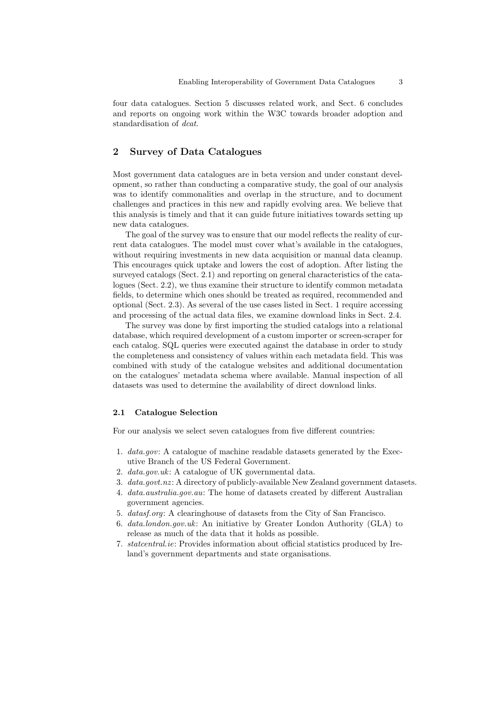four data catalogues. Section 5 discusses related work, and Sect. 6 concludes and reports on ongoing work within the W3C towards broader adoption and standardisation of dcat.

# 2 Survey of Data Catalogues

Most government data catalogues are in beta version and under constant development, so rather than conducting a comparative study, the goal of our analysis was to identify commonalities and overlap in the structure, and to document challenges and practices in this new and rapidly evolving area. We believe that this analysis is timely and that it can guide future initiatives towards setting up new data catalogues.

The goal of the survey was to ensure that our model reflects the reality of current data catalogues. The model must cover what's available in the catalogues, without requiring investments in new data acquisition or manual data cleanup. This encourages quick uptake and lowers the cost of adoption. After listing the surveyed catalogs (Sect. 2.1) and reporting on general characteristics of the catalogues (Sect. 2.2), we thus examine their structure to identify common metadata fields, to determine which ones should be treated as required, recommended and optional (Sect. 2.3). As several of the use cases listed in Sect. 1 require accessing and processing of the actual data files, we examine download links in Sect. 2.4.

The survey was done by first importing the studied catalogs into a relational database, which required development of a custom importer or screen-scraper for each catalog. SQL queries were executed against the database in order to study the completeness and consistency of values within each metadata field. This was combined with study of the catalogue websites and additional documentation on the catalogues' metadata schema where available. Manual inspection of all datasets was used to determine the availability of direct download links.

#### 2.1 Catalogue Selection

For our analysis we select seven catalogues from five different countries:

- 1. data.gov: A catalogue of machine readable datasets generated by the Executive Branch of the US Federal Government.
- 2. data.gov.uk: A catalogue of UK governmental data.
- 3.  $data.gov,nz$ : A directory of publicly-available New Zealand government datasets.
- 4. data.australia.gov.au: The home of datasets created by different Australian government agencies.
- 5. datasf.org: A clearinghouse of datasets from the City of San Francisco.
- 6. data.london.gov.uk: An initiative by Greater London Authority (GLA) to release as much of the data that it holds as possible.
- 7. statcentral.ie: Provides information about official statistics produced by Ireland's government departments and state organisations.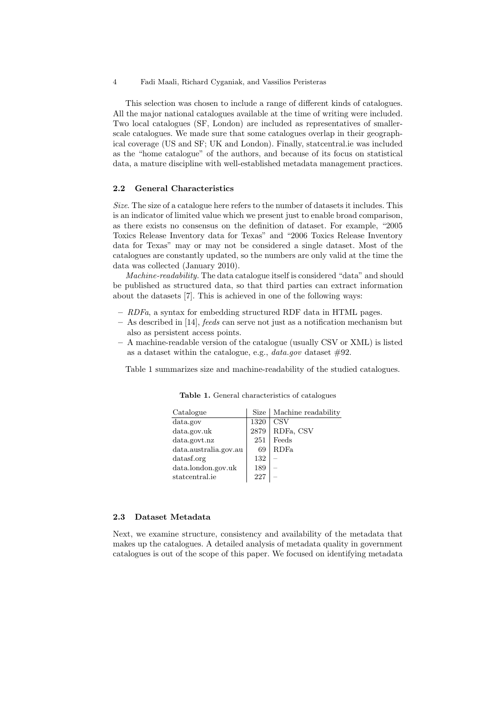This selection was chosen to include a range of different kinds of catalogues. All the major national catalogues available at the time of writing were included. Two local catalogues (SF, London) are included as representatives of smallerscale catalogues. We made sure that some catalogues overlap in their geographical coverage (US and SF; UK and London). Finally, statcentral.ie was included as the "home catalogue" of the authors, and because of its focus on statistical data, a mature discipline with well-established metadata management practices.

## 2.2 General Characteristics

Size. The size of a catalogue here refers to the number of datasets it includes. This is an indicator of limited value which we present just to enable broad comparison, as there exists no consensus on the definition of dataset. For example, "2005 Toxics Release Inventory data for Texas" and "2006 Toxics Release Inventory data for Texas" may or may not be considered a single dataset. Most of the catalogues are constantly updated, so the numbers are only valid at the time the data was collected (January 2010).

Machine-readability. The data catalogue itself is considered "data" and should be published as structured data, so that third parties can extract information about the datasets [7]. This is achieved in one of the following ways:

- $-$  RDFa, a syntax for embedding structured RDF data in HTML pages.
- $-$  As described in [14], *feeds* can serve not just as a notification mechanism but also as persistent access points.
- A machine-readable version of the catalogue (usually CSV or XML) is listed as a dataset within the catalogue, e.g.,  $data.gov$  dataset  $\#92$ .

Table 1 summarizes size and machine-readability of the studied catalogues.

| Catalogue             | Size | Machine readability |
|-----------------------|------|---------------------|
| data.gov              | 1320 | CSV                 |
| data.gov.uk           | 2879 | RDFa, CSV           |
| data.govt.nz          | 251  | Feeds               |
| data.australia.gov.au | 69   | RDFa                |
| datasf.org            | 132  |                     |
| data.london.gov.uk    | 189  | -                   |
| statcentral.ie        | 227  |                     |

Table 1. General characteristics of catalogues

#### 2.3 Dataset Metadata

Next, we examine structure, consistency and availability of the metadata that makes up the catalogues. A detailed analysis of metadata quality in government catalogues is out of the scope of this paper. We focused on identifying metadata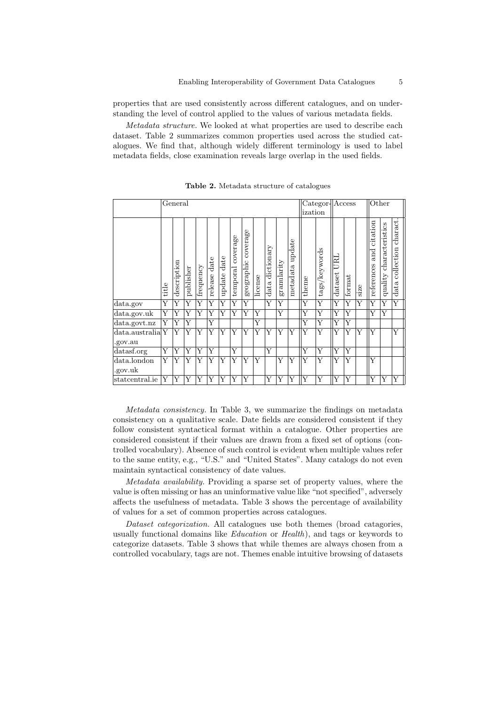properties that are used consistently across different catalogues, and on understanding the level of control applied to the values of various metadata fields.

Metadata structure. We looked at what properties are used to describe each dataset. Table 2 summarizes common properties used across the studied catalogues. We find that, although widely different terminology is used to label metadata fields, close examination reveals large overlap in the used fields.

|                                 | General |                    |           |           |                 |                    |                      |                        |         |                    | Categor-Access                |                    |         |                    |                | Other              |      |                               |                            |                                |
|---------------------------------|---------|--------------------|-----------|-----------|-----------------|--------------------|----------------------|------------------------|---------|--------------------|-------------------------------|--------------------|---------|--------------------|----------------|--------------------|------|-------------------------------|----------------------------|--------------------------------|
|                                 |         |                    |           |           |                 |                    |                      |                        |         |                    |                               |                    | ization |                    |                |                    |      |                               |                            |                                |
|                                 | title   | description        | publisher | frequency | date<br>release | date<br>update     | coverage<br>temporal | coverage<br>geographic | license | dictionary<br>data | $\operatorname{gr}$ anularity | update<br>metadata | theme   | tags/keywords      | URL<br>dataset | format             | size | citation<br>and<br>references | characteristics<br>quality | charact.<br>collection<br>data |
| data.gov                        | Y       | Y                  | Y         | Y         | Y               | Y                  | Y                    | Y                      |         | Ý                  | Υ                             |                    | Y       | Y                  | Υ              | Y                  | Y    | Y                             | Υ                          | Y                              |
| data.gov.uk                     | Υ       | Υ                  | Υ         | Y         | Υ               | Y                  | Y                    | Y                      | Υ       |                    | Y                             |                    | Υ       | Y                  | Υ              | Y                  |      | Υ                             | Y                          |                                |
| data.govt.nz                    | Y       | Y                  | Y         |           | Y               |                    |                      |                        | Y       |                    |                               |                    | Y       | Y                  | Y              | Y                  |      |                               |                            |                                |
| data.australia Y<br>.gov.au     |         | Y                  | Y         | Y         | Y               | $\overline{\rm Y}$ | Y                    | Y                      | Y       | Y                  | Y                             | Υ                  | Y       | Y                  | Y              | $\overline{\rm Y}$ | Y    | Y                             |                            | $\overline{\mathrm{Y}}$        |
| $\overline{\text{data}}$ sf.org | Y       | Υ                  | Υ         | Υ         | Y               |                    | Y                    |                        |         | Y                  |                               |                    | Υ       | Υ                  | Υ              | Y                  |      |                               |                            |                                |
| data.london<br>.gov.uk          | Y       | $\overline{\rm Y}$ | Y         | Y         | Y               | Y                  | Y                    | Y                      | Y       |                    | Y                             | Y                  | Y       | $\overline{\rm Y}$ | Y              | Y                  |      | Y                             |                            |                                |
| statcentral.ie                  | Y       | Y                  | Y         | Y         | Y               | Y                  | Y                    | Y                      |         | Y                  | Y                             | Y                  | Y       | Y                  | Y              | Y                  |      | Y                             | Y                          | Y                              |

Table 2. Metadata structure of catalogues

Metadata consistency. In Table 3, we summarize the findings on metadata consistency on a qualitative scale. Date fields are considered consistent if they follow consistent syntactical format within a catalogue. Other properties are considered consistent if their values are drawn from a fixed set of options (controlled vocabulary). Absence of such control is evident when multiple values refer to the same entity, e.g., "U.S." and "United States". Many catalogs do not even maintain syntactical consistency of date values.

Metadata availability. Providing a sparse set of property values, where the value is often missing or has an uninformative value like "not specified", adversely affects the usefulness of metadata. Table 3 shows the percentage of availability of values for a set of common properties across catalogues.

Dataset categorization. All catalogues use both themes (broad catagories, usually functional domains like Education or Health), and tags or keywords to categorize datasets. Table 3 shows that while themes are always chosen from a controlled vocabulary, tags are not. Themes enable intuitive browsing of datasets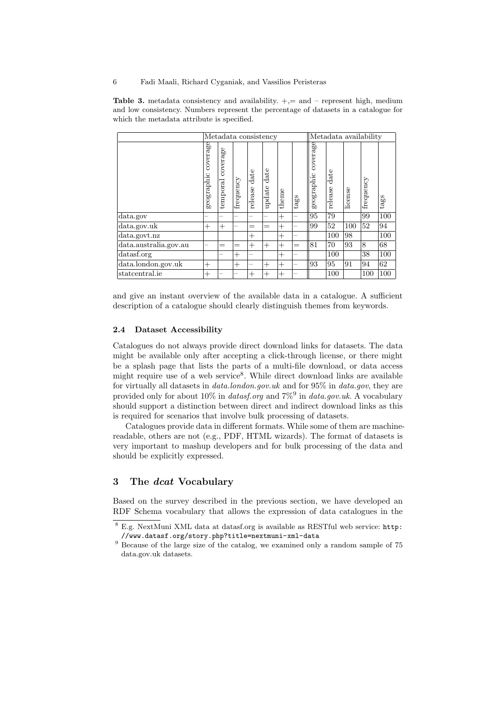**Table 3.** metadata consistency and availability.  $+$ ,  $=$  and  $-$  represent high, medium and low consistency. Numbers represent the percentage of datasets in a catalogue for which the metadata attribute is specified.

|                       |                        |                      | Metadata consistency |                 |                | Metadata availability |      |                        |                 |         |           |      |
|-----------------------|------------------------|----------------------|----------------------|-----------------|----------------|-----------------------|------|------------------------|-----------------|---------|-----------|------|
|                       | coverage<br>geographic | coverage<br>temporal | Frequency            | date<br>release | date<br>update | theme                 | tags | coverage<br>geographic | date<br>release | license | frequency | tags |
| data.gov              |                        |                      |                      |                 |                | $^{+}$                |      | 95                     | 79              |         | 99        | 100  |
| data.gov.uk           | $^{+}$                 | $^{+}$               |                      | $=$             | $=$            | $^{+}$                |      | 99                     | 52              | 100     | 52        | 94   |
| data.govt.nz          |                        |                      |                      | $^{+}$          |                | $^{+}$                | -    |                        | 100             | 98      |           | 100  |
| data.australia.gov.au |                        | $=$                  | $=$                  | $^{+}$          | $^{+}$         | $^{+}$                | $=$  | 81                     | 70              | 93      | 8         | 68   |
| datasf.org            |                        |                      | $^{+}$               |                 |                | $^{+}$                |      |                        | 100             |         | 38        | 100  |
| data.london.gov.uk    | $^{+}$                 |                      | $^{+}$               |                 | $^{+}$         | $^{+}$                |      | 93                     | 95              | 91      | 94        | 62   |
| statcentral.ie        | $^{+}$                 |                      |                      | $^{+}$          | $^{+}$         | $^{+}$                |      |                        | 100             |         | 100       | 100  |

and give an instant overview of the available data in a catalogue. A sufficient description of a catalogue should clearly distinguish themes from keywords.

## 2.4 Dataset Accessibility

Catalogues do not always provide direct download links for datasets. The data might be available only after accepting a click-through license, or there might be a splash page that lists the parts of a multi-file download, or data access might require use of a web service<sup>8</sup>. While direct download links are available for virtually all datasets in *data.london.gov.uk* and for  $95\%$  in *data.gov*, they are provided only for about 10% in *datasf.org* and  $7\%$ <sup>9</sup> in *data.gov.uk*. A vocabulary should support a distinction between direct and indirect download links as this is required for scenarios that involve bulk processing of datasets.

Catalogues provide data in different formats. While some of them are machinereadable, others are not (e.g., PDF, HTML wizards). The format of datasets is very important to mashup developers and for bulk processing of the data and should be explicitly expressed.

# 3 The dcat Vocabulary

Based on the survey described in the previous section, we have developed an RDF Schema vocabulary that allows the expression of data catalogues in the

<sup>8</sup> E.g. NextMuni XML data at datasf.org is available as RESTful web service: http: //www.datasf.org/story.php?title=nextmuni-xml-data

<sup>9</sup> Because of the large size of the catalog, we examined only a random sample of 75 data.gov.uk datasets.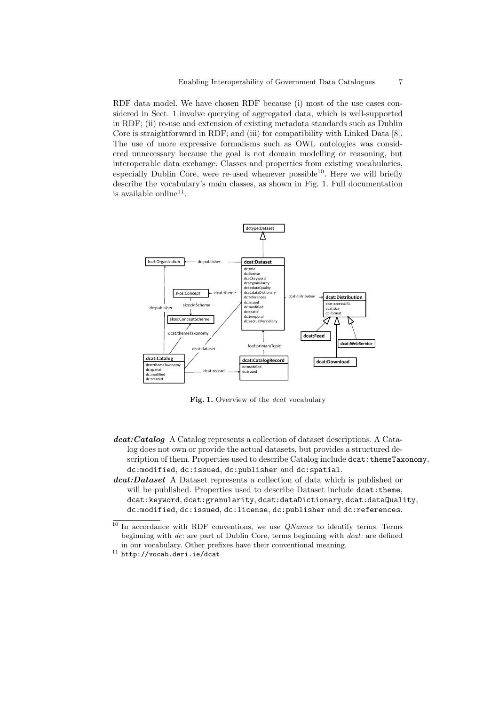RDF data model. We have chosen RDF because (i) most of the use cases considered in Sect. 1 involve querying of aggregated data, which is well-supported in RDF; (ii) re-use and extension of existing metadata standards such as Dublin Core is straightforward in RDF; and (iii) for compatibility with Linked Data [8]. The use of more expressive formalisms such as OWL ontologies was considered unnecessary because the goal is not domain modelling or reasoning, but interoperable data exchange. Classes and properties from existing vocabularies, especially Dublin Core, were re-used whenever possible $10$ . Here we will briefly describe the vocabulary's main classes, as shown in Fig. 1. Full documentation is available online<sup>11</sup>.



Fig. 1. Overview of the *dcat* vocabulary

- dcat: Catalog A Catalog represents a collection of dataset descriptions. A Catalog does not own or provide the actual datasets, but provides a structured description of them. Properties used to describe Catalog include dcat: themeTaxonomy, dc:modified, dc:issued, dc:publisher and dc:spatial.
- dcat:Dataset A Dataset represents a collection of data which is published or will be published. Properties used to describe Dataset include  $\texttt{dcat:theme}$ , dcat:keyword, dcat:granularity, dcat:dataDictionary, dcat:dataQuality, dc:modified, dc:issued, dc:license, dc:publisher and dc:references.

 $\overline{10}$  In accordance with RDF conventions, we use *QNames* to identify terms. Terms beginning with  $dc$ : are part of Dublin Core, terms beginning with  $dcat$ : are defined in our vocabulary. Other prefixes have their conventional meaning.

 $^{11}$ http://vocab.deri.ie/dcat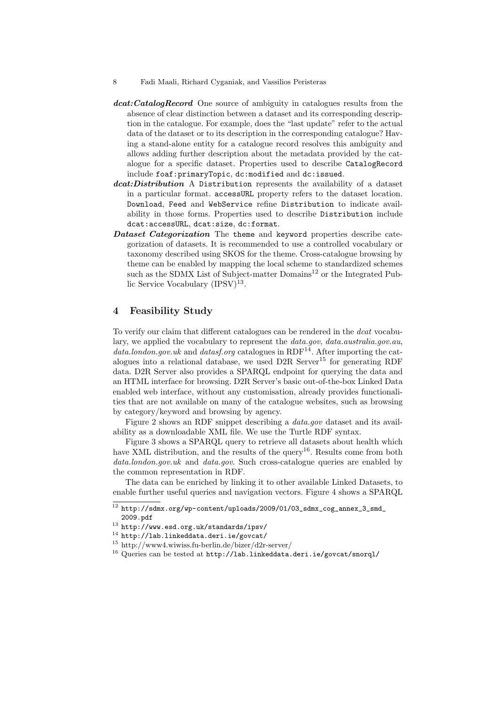- 8 Fadi Maali, Richard Cyganiak, and Vassilios Peristeras
- dcat: CatalogRecord One source of ambiguity in catalogues results from the absence of clear distinction between a dataset and its corresponding description in the catalogue. For example, does the "last update" refer to the actual data of the dataset or to its description in the corresponding catalogue? Having a stand-alone entity for a catalogue record resolves this ambiguity and allows adding further description about the metadata provided by the catalogue for a specific dataset. Properties used to describe CatalogRecord include foaf:primaryTopic, dc:modified and dc:issued.
- dcat: Distribution A Distribution represents the availability of a dataset in a particular format. accessURL property refers to the dataset location. Download, Feed and WebService refine Distribution to indicate availability in those forms. Properties used to describe Distribution include dcat:accessURL, dcat:size, dc:format.
- Dataset Categorization The theme and keyword properties describe categorization of datasets. It is recommended to use a controlled vocabulary or taxonomy described using SKOS for the theme. Cross-catalogue browsing by theme can be enabled by mapping the local scheme to standardized schemes such as the SDMX List of Subject-matter  $Domain<sup>12</sup>$  or the Integrated Public Service Vocabulary (IPSV)<sup>13</sup>.

#### 4 Feasibility Study

To verify our claim that different catalogues can be rendered in the dcat vocabulary, we applied the vocabulary to represent the *data.gov*, *data.australia.gov.au*, data.london.gov.uk and datasf.org catalogues in  $RDF^{14}$ . After importing the catalogues into a relational database, we used  $D2R$  Server<sup>15</sup> for generating RDF data. D2R Server also provides a SPARQL endpoint for querying the data and an HTML interface for browsing. D2R Server's basic out-of-the-box Linked Data enabled web interface, without any customisation, already provides functionalities that are not available on many of the catalogue websites, such as browsing by category/keyword and browsing by agency.

Figure 2 shows an RDF snippet describing a data.gov dataset and its availability as a downloadable XML file. We use the Turtle RDF syntax.

Figure 3 shows a SPARQL query to retrieve all datasets about health which have XML distribution, and the results of the query<sup>16</sup>. Results come from both data.london.gov.uk and data.gov. Such cross-catalogue queries are enabled by the common representation in RDF.

The data can be enriched by linking it to other available Linked Datasets, to enable further useful queries and navigation vectors. Figure 4 shows a SPARQL

<sup>12</sup> http://sdmx.org/wp-content/uploads/2009/01/03\_sdmx\_cog\_annex\_3\_smd\_ 2009.pdf

<sup>13</sup> http://www.esd.org.uk/standards/ipsv/

<sup>14</sup> http://lab.linkeddata.deri.ie/govcat/

 $^{15}$ http://www4.wiwiss.fu-berlin.de/bizer/d2r-server/

 $16$  Queries can be tested at http://lab.linkeddata.deri.ie/govcat/snorql/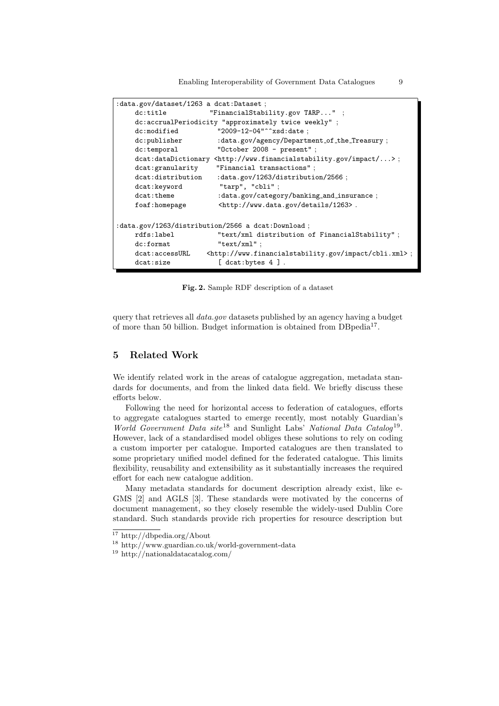```
:data.gov/dataset/1263 a dcat:Dataset ;
    dc:title "FinancialStability.gov TARP..." ;
    dc:accrualPeriodicity "approximately twice weekly" ;
    dc:modified "2009-12-04"<sup>\hat{\ }</sup>xsd:date ;
    dc:publisher :data.gov/agency/Department_of_the_Treasury;
    dc:temporal "October 2008 - present" ;
    dcat:dataDictionary <http://www.financialstability.gov/impact/...>;
    dcat:granularity "Financial transactions" ;
    dcat:distribution :data.gov/1263/distribution/2566;
    dcat:keyword "tarp", "cbli" ;
    dcat:theme :data.gov/category/banking_and_insurance;
    foaf:homepage <http://www.data.gov/details/1263> .
:data.gov/1263/distribution/2566 a dcat:Download ;
    rdfs:label "text/xml distribution of FinancialStability" ;
    dc:format "text/xml";
    dcat:accessURL <http://www.financialstability.gov/impact/cbli.xml>
    dcat:size [ dcat:bytes 4 ].
```
Fig. 2. Sample RDF description of a dataset

query that retrieves all *data.gov* datasets published by an agency having a budget of more than 50 billion. Budget information is obtained from DBpedia<sup>17</sup>.

### 5 Related Work

We identify related work in the areas of catalogue aggregation, metadata standards for documents, and from the linked data field. We briefly discuss these efforts below.

Following the need for horizontal access to federation of catalogues, efforts to aggregate catalogues started to emerge recently, most notably Guardian's World Government Data site<sup>18</sup> and Sunlight Labs' National Data Catalog<sup>19</sup>. However, lack of a standardised model obliges these solutions to rely on coding a custom importer per catalogue. Imported catalogues are then translated to some proprietary unified model defined for the federated catalogue. This limits flexibility, reusability and extensibility as it substantially increases the required effort for each new catalogue addition.

Many metadata standards for document description already exist, like e-GMS [2] and AGLS [3]. These standards were motivated by the concerns of document management, so they closely resemble the widely-used Dublin Core standard. Such standards provide rich properties for resource description but

<sup>&</sup>lt;sup>17</sup> http://dbpedia.org/About

<sup>18</sup> http://www.guardian.co.uk/world-government-data

 $^{19}$ http://nationaldatacatalog.com/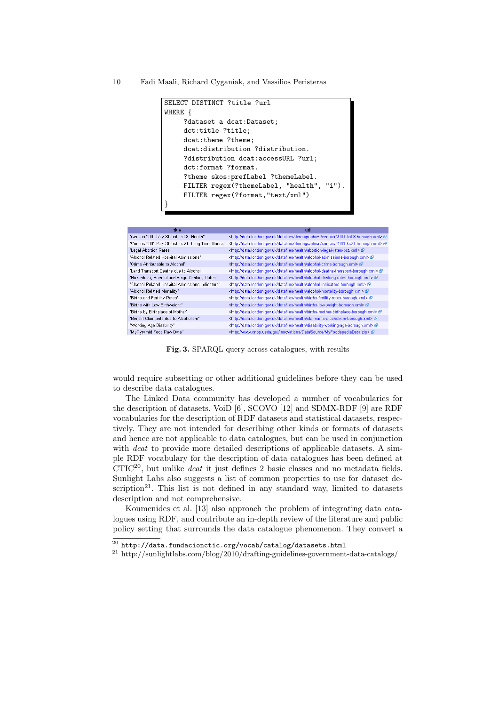```
SELECT DISTINCT ?title ?url
                WHERE {
                        ?dataset a dcat:Dataset;
                        dct:title ?title;
                        dcat:theme ?theme;
                        dcat:distribution ?distribution.
                        ?distribution dcat:accessURL ?url;
                        dct:format ?format.
                        ?theme skos:prefLabel ?themeLabel.
                        FILTER regex(?themeLabel, "health", "i")
                        FILTER regex(?format,"text/xml")
                }
                                                                                url -
"Census 2001 Key Statistics 08: Health"
                                            <http://data.london.gov.uk/datafiles/demographics/census-2001-ks08-borough.xml> @
"Census 2001 Key Statistics 21: Long Term Illness"
                                            <http://data.london.gov.uk/datafiles/demographics/census-2001-ks21-borough.xml>
"Legal Abortion Rates"
                                            <http://data.london.gov.uk/datafiles/health/abortion-legal-rates-pct.xml> &
"Alcohol Related Hospital Admissions"
                                             <http://data.london.gov.uk/datafiles/health/alcohol-admissions-borough.xml>
"Crime Attributable to Alcohol"
                                             <http://data.london.gov.uk/datafiles/health/alcohol-crime-borough.xml>
"Land Transport Deaths due to Alcohol"
                                             <http://data.london.gov.uk/datafiles/health/alcohol-deaths-transport-borough.xml>
"Hazardous, Harmful and Binge Drinking Rates"
                                             <http://data.london.gov.uk/datafiles/health/alcohol-drinking-rates-borough.xml>
"Alcohol Related Hospital Admissions Indicators"
                                            <http://data.london.gov.uk/datafiles/health/alcohol-indicators-borough.xml> @
"Alcohol Related Mortality"
                                            <http://data.london.gov.uk/datafiles/health/alcohol-mortality-borough.xml> &
"Rirths and Fertility Rates"
                                             <http://data.london.gov.uk/datafiles/health/hirths-fertility-rates-horough.xml>
"Rirths with I ow Rirthweight"
                                            <http://data.london.gov.uk/datafiles/health/births-low-weight-borough.xml> @
"Births by Birthplace of Mother"
                                             <http://data.london.gov.uk/datafiles/health/births-mother-birthplace-borough.xml>
"Benefit Claimants due to Alcoholism
                                             <http://data.london.gov.uk/datafiles/health/claimants-alcoholism-borough.xml> @
```
Fig. 3. SPARQL query across catalogues, with results

<http://data.london.gov.uk/datafiles/health/disability-working-age-borough.xml> d

<http://www.cnpp.usda.gov/Innovations/DataSource/MyFoodapediaData.zip> @

would require subsetting or other additional guidelines before they can be used to describe data catalogues.

The Linked Data community has developed a number of vocabularies for the description of datasets. VoiD [6], SCOVO [12] and SDMX-RDF [9] are RDF vocabularies for the description of RDF datasets and statistical datasets, respectively. They are not intended for describing other kinds or formats of datasets and hence are not applicable to data catalogues, but can be used in conjunction with *dcat* to provide more detailed descriptions of applicable datasets. A simple RDF vocabulary for the description of data catalogues has been defined at  $CTIC<sup>20</sup>$ , but unlike *dcat* it just defines 2 basic classes and no metadata fields. Sunlight Labs also suggests a list of common properties to use for dataset description $21$ . This list is not defined in any standard way, limited to datasets description and not comprehensive.

Koumenides et al. [13] also approach the problem of integrating data catalogues using RDF, and contribute an in-depth review of the literature and public policy setting that surrounds the data catalogue phenomenon. They convert a

"Working Age Disability

"MyPyramid Food Raw Data"

 $^{20}$ http://data.fundacionctic.org/vocab/catalog/datasets.html

 $^{21}$ http://sunlightlabs.com/blog/2010/drafting-guidelines-government-data-catalogs/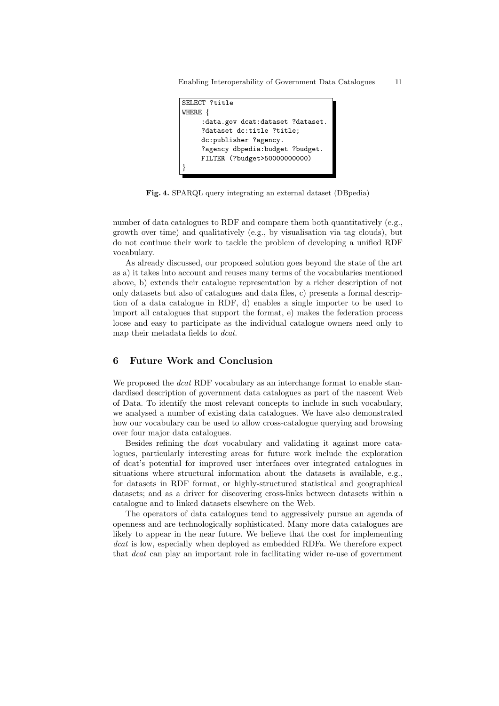Enabling Interoperability of Government Data Catalogues 11

```
SELECT ?title
WHERE {
     :data.gov dcat:dataset ?dataset.
     ?dataset dc:title ?title;
     dc:publisher ?agency.
     ?agency dbpedia:budget ?budget.
     FILTER (?budget>50000000000)
}
```
Fig. 4. SPARQL query integrating an external dataset (DBpedia)

number of data catalogues to RDF and compare them both quantitatively (e.g., growth over time) and qualitatively (e.g., by visualisation via tag clouds), but do not continue their work to tackle the problem of developing a unified RDF vocabulary.

As already discussed, our proposed solution goes beyond the state of the art as a) it takes into account and reuses many terms of the vocabularies mentioned above, b) extends their catalogue representation by a richer description of not only datasets but also of catalogues and data files, c) presents a formal description of a data catalogue in RDF, d) enables a single importer to be used to import all catalogues that support the format, e) makes the federation process loose and easy to participate as the individual catalogue owners need only to map their metadata fields to *dcat*.

# 6 Future Work and Conclusion

We proposed the *dcat* RDF vocabulary as an interchange format to enable standardised description of government data catalogues as part of the nascent Web of Data. To identify the most relevant concepts to include in such vocabulary, we analysed a number of existing data catalogues. We have also demonstrated how our vocabulary can be used to allow cross-catalogue querying and browsing over four major data catalogues.

Besides refining the dcat vocabulary and validating it against more catalogues, particularly interesting areas for future work include the exploration of dcat's potential for improved user interfaces over integrated catalogues in situations where structural information about the datasets is available, e.g., for datasets in RDF format, or highly-structured statistical and geographical datasets; and as a driver for discovering cross-links between datasets within a catalogue and to linked datasets elsewhere on the Web.

The operators of data catalogues tend to aggressively pursue an agenda of openness and are technologically sophisticated. Many more data catalogues are likely to appear in the near future. We believe that the cost for implementing dcat is low, especially when deployed as embedded RDFa. We therefore expect that dcat can play an important role in facilitating wider re-use of government